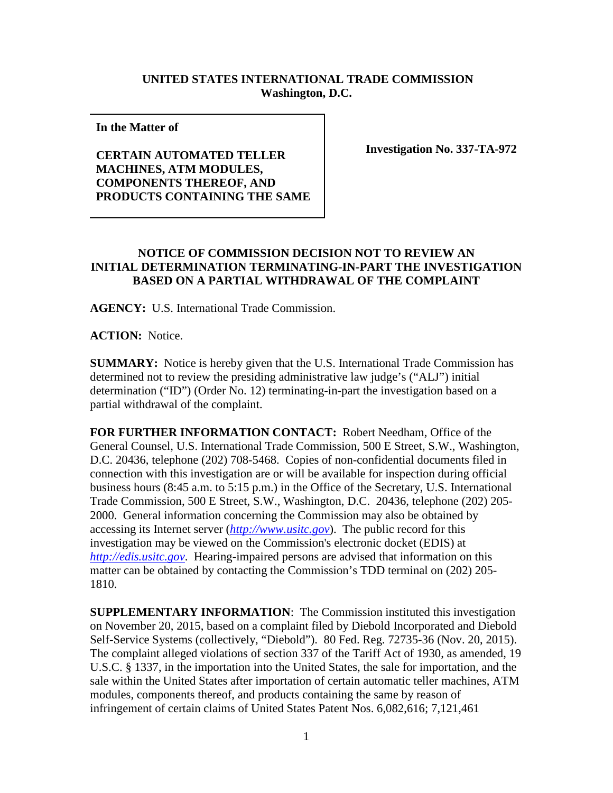## **UNITED STATES INTERNATIONAL TRADE COMMISSION Washington, D.C.**

**In the Matter of** 

**CERTAIN AUTOMATED TELLER MACHINES, ATM MODULES, COMPONENTS THEREOF, AND PRODUCTS CONTAINING THE SAME** **Investigation No. 337-TA-972**

## **NOTICE OF COMMISSION DECISION NOT TO REVIEW AN INITIAL DETERMINATION TERMINATING-IN-PART THE INVESTIGATION BASED ON A PARTIAL WITHDRAWAL OF THE COMPLAINT**

**AGENCY:** U.S. International Trade Commission.

**ACTION:** Notice.

**SUMMARY:** Notice is hereby given that the U.S. International Trade Commission has determined not to review the presiding administrative law judge's ("ALJ") initial determination ("ID") (Order No. 12) terminating-in-part the investigation based on a partial withdrawal of the complaint.

**FOR FURTHER INFORMATION CONTACT:** Robert Needham, Office of the General Counsel, U.S. International Trade Commission, 500 E Street, S.W., Washington, D.C. 20436, telephone (202) 708-5468. Copies of non-confidential documents filed in connection with this investigation are or will be available for inspection during official business hours (8:45 a.m. to 5:15 p.m.) in the Office of the Secretary, U.S. International Trade Commission, 500 E Street, S.W., Washington, D.C. 20436, telephone (202) 205- 2000. General information concerning the Commission may also be obtained by accessing its Internet server (*[http://www.usitc.gov](http://www.usitc.gov/)*). The public record for this investigation may be viewed on the Commission's electronic docket (EDIS) at *[http://edis.usitc.gov](http://edis.usitc.gov/)*. Hearing-impaired persons are advised that information on this matter can be obtained by contacting the Commission's TDD terminal on (202) 205- 1810.

**SUPPLEMENTARY INFORMATION**: The Commission instituted this investigation on November 20, 2015, based on a complaint filed by Diebold Incorporated and Diebold Self-Service Systems (collectively, "Diebold"). 80 Fed. Reg. 72735-36 (Nov. 20, 2015). The complaint alleged violations of section 337 of the Tariff Act of 1930, as amended, 19 U.S.C. § 1337, in the importation into the United States, the sale for importation, and the sale within the United States after importation of certain automatic teller machines, ATM modules, components thereof, and products containing the same by reason of infringement of certain claims of United States Patent Nos. 6,082,616; 7,121,461